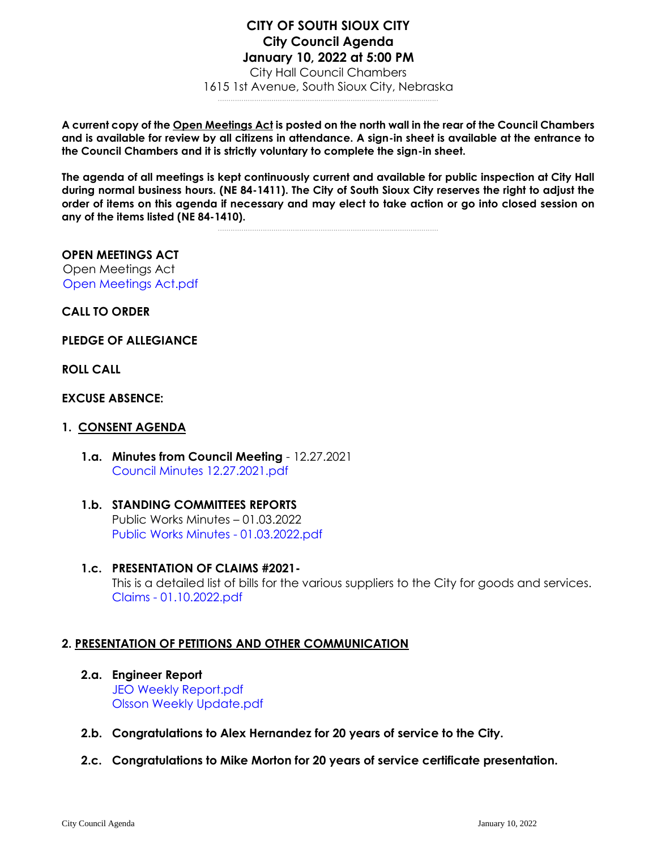#### **CITY OF SOUTH SIOUX CITY City Council Agenda January 10, 2022 at 5:00 PM** City Hall Council Chambers 1615 1st Avenue, South Sioux City, Nebraska .......................................................................................................

**A current copy of the Open Meetings Act is posted on the north wall in the rear of the Council Chambers and is available for review by all citizens in attendance. A sign-in sheet is available at the entrance to the Council Chambers and it is strictly voluntary to complete the sign-in sheet.**

**The agenda of all meetings is kept continuously current and available for public inspection at City Hall during normal business hours. (NE 84-1411). The City of South Sioux City reserves the right to adjust the order of items on this agenda if necessary and may elect to take action or go into closed session on any of the items listed (NE 84-1410).**

.......................................................................................................

## **OPEN MEETINGS ACT**

Open Meetings Act [Open Meetings Act.pdf](https://legistarweb-production.s3.amazonaws.com/uploads/attachment/pdf/1190107/Open_Meetings_Act.pdf)

**CALL TO ORDER**

**PLEDGE OF ALLEGIANCE** 

**ROLL CALL**

#### **EXCUSE ABSENCE:**

#### **1. CONSENT AGENDA**

- **1.a. Minutes from Council Meeting**  12.27.2021 [Council Minutes 12.27.2021.pdf](https://legistarweb-production.s3.amazonaws.com/uploads/attachment/pdf/1200049/Council_Minutes_12.27.2021.pdf)
- **1.b. STANDING COMMITTEES REPORTS** Public Works Minutes – 01.03.2022 [Public Works Minutes -](https://legistarweb-production.s3.amazonaws.com/uploads/attachment/pdf/1200052/Public_Works_Minutes_-_01.03.2022.pdf) 01.03.2022.pdf
- **1.c. PRESENTATION OF CLAIMS #2021-** This is a detailed list of bills for the various suppliers to the City for goods and services. Claims - [01.10.2022.pdf](https://legistarweb-production.s3.amazonaws.com/uploads/attachment/pdf/1200055/Claims_-_01.10.2022.pdf)

# **2. PRESENTATION OF PETITIONS AND OTHER COMMUNICATION**

- **2.a. Engineer Report** [JEO Weekly Report.pdf](https://legistarweb-production.s3.amazonaws.com/uploads/attachment/pdf/1200068/JEO_Weekly_Report.pdf) [Olsson Weekly Update.pdf](https://legistarweb-production.s3.amazonaws.com/uploads/attachment/pdf/1200069/Olsson_Weekly_Update.pdf)
- **2.b. Congratulations to Alex Hernandez for 20 years of service to the City.**
- **2.c. Congratulations to Mike Morton for 20 years of service certificate presentation.**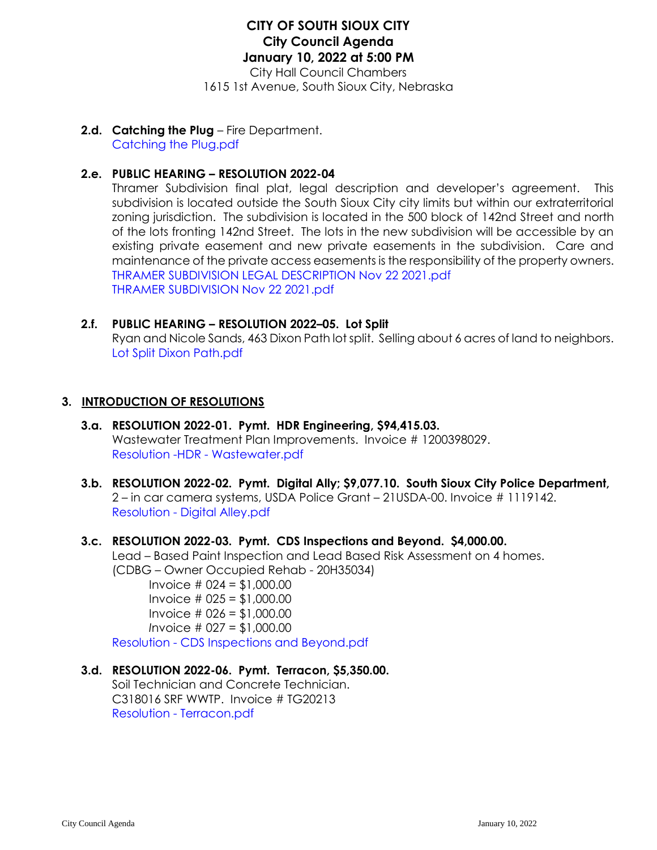# **CITY OF SOUTH SIOUX CITY City Council Agenda January 10, 2022 at 5:00 PM**

City Hall Council Chambers 1615 1st Avenue, South Sioux City, Nebraska

**2.d. Catching the Plug** – Fire Department. [Catching the Plug.pdf](https://legistarweb-production.s3.amazonaws.com/uploads/attachment/pdf/1200090/Catching_the_Plug.pdf)

# **2.e. PUBLIC HEARING – RESOLUTION 2022-04**

Thramer Subdivision final plat, legal description and developer's agreement. This subdivision is located outside the South Sioux City city limits but within our extraterritorial zoning jurisdiction. The subdivision is located in the 500 block of 142nd Street and north of the lots fronting 142nd Street. The lots in the new subdivision will be accessible by an existing private easement and new private easements in the subdivision. Care and maintenance of the private access easements is the responsibility of the property owners. [THRAMER SUBDIVISION LEGAL DESCRIPTION Nov 22 2021.pdf](https://legistarweb-production.s3.amazonaws.com/uploads/attachment/pdf/1200100/THRAMER_SUBDIVISION_LEGAL_DESCRIPTION_Nov_22_2021.pdf) [THRAMER SUBDIVISION Nov 22 2021.pdf](https://legistarweb-production.s3.amazonaws.com/uploads/attachment/pdf/1200101/THRAMER_SUBDIVISION_Nov_22_2021.pdf)

#### **2.f. PUBLIC HEARING – RESOLUTION 2022–05. Lot Split**

Ryan and Nicole Sands, 463 Dixon Path lot split. Selling about 6 acres of land to neighbors. [Lot Split Dixon Path.pdf](https://legistarweb-production.s3.amazonaws.com/uploads/attachment/pdf/1200107/Lot_Split_Dixon_Path.pdf)

# **3. INTRODUCTION OF RESOLUTIONS**

- **3.a. RESOLUTION 2022-01. Pymt. HDR Engineering, \$94,415.03.**  Wastewater Treatment Plan Improvements. Invoice # 1200398029. [Resolution -HDR -](https://legistarweb-production.s3.amazonaws.com/uploads/attachment/pdf/1200111/Resolution_-HDR_-_Wastewater.pdf) Wastewater.pdf
- **3.b. RESOLUTION 2022-02. Pymt. Digital Ally; \$9,077.10. South Sioux City Police Department,**  2 – in car camera systems, USDA Police Grant – 21USDA-00. Invoice # 1119142. Resolution - [Digital Alley.pdf](https://legistarweb-production.s3.amazonaws.com/uploads/attachment/pdf/1200114/Resolution_-_Digital_Alley.pdf)

# **3.c. RESOLUTION 2022-03. Pymt. CDS Inspections and Beyond. \$4,000.00.**

Lead – Based Paint Inspection and Lead Based Risk Assessment on 4 homes. (CDBG – Owner Occupied Rehab - 20H35034)

Invoice # 024 = \$1,000.00 Invoice # 025 = \$1,000.00 Invoice # 026 = \$1,000.00 *I*nvoice # 027 = \$1,000.00

Resolution - [CDS Inspections and Beyond.pdf](https://legistarweb-production.s3.amazonaws.com/uploads/attachment/pdf/1200118/Resolution_-_CDS_Inspections_and_Beyond.pdf)

# **3.d. RESOLUTION 2022-06. Pymt. Terracon, \$5,350.00.**

Soil Technician and Concrete Technician. C318016 SRF WWTP. Invoice # TG20213 Resolution - [Terracon.pdf](https://legistarweb-production.s3.amazonaws.com/uploads/attachment/pdf/1200130/Resolution_-_Terracon.pdf)